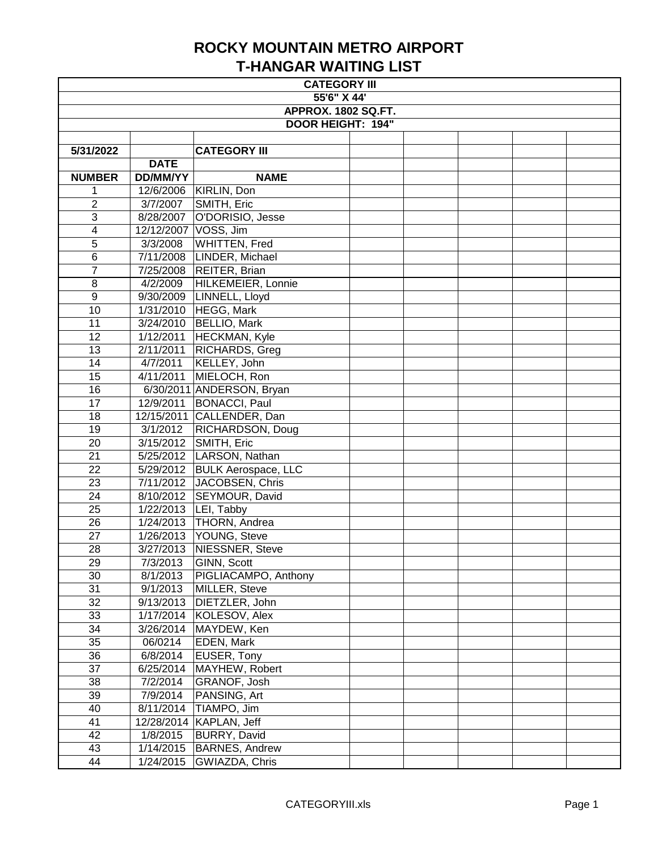| <b>CATEGORY III</b>        |                 |                               |  |  |  |  |  |
|----------------------------|-----------------|-------------------------------|--|--|--|--|--|
| 55'6" X 44'                |                 |                               |  |  |  |  |  |
| <b>APPROX. 1802 SQ.FT.</b> |                 |                               |  |  |  |  |  |
| <b>DOOR HEIGHT: 194"</b>   |                 |                               |  |  |  |  |  |
|                            |                 |                               |  |  |  |  |  |
| 5/31/2022                  |                 | <b>CATEGORY III</b>           |  |  |  |  |  |
|                            | <b>DATE</b>     |                               |  |  |  |  |  |
| <b>NUMBER</b>              | <b>DD/MM/YY</b> | <b>NAME</b>                   |  |  |  |  |  |
| 1                          |                 | 12/6/2006   KIRLIN, Don       |  |  |  |  |  |
| $\overline{2}$             | 3/7/2007        | SMITH, Eric                   |  |  |  |  |  |
| 3                          | 8/28/2007       | O'DORISIO, Jesse              |  |  |  |  |  |
| 4                          |                 | 12/12/2007 VOSS, Jim          |  |  |  |  |  |
| 5                          | 3/3/2008        | <b>WHITTEN, Fred</b>          |  |  |  |  |  |
| $\overline{6}$             |                 | 7/11/2008 LINDER, Michael     |  |  |  |  |  |
| 7                          | 7/25/2008       | REITER, Brian                 |  |  |  |  |  |
| 8                          | 4/2/2009        | HILKEMEIER, Lonnie            |  |  |  |  |  |
| $\boldsymbol{9}$           | 9/30/2009       | LINNELL, Lloyd                |  |  |  |  |  |
| 10                         | 1/31/2010       | HEGG, Mark                    |  |  |  |  |  |
| 11                         | 3/24/2010       | BELLIO, Mark                  |  |  |  |  |  |
| 12                         | 1/12/2011       | HECKMAN, Kyle                 |  |  |  |  |  |
| 13                         | 2/11/2011       | RICHARDS, Greg                |  |  |  |  |  |
| 14                         | 4/7/2011        | KELLEY, John                  |  |  |  |  |  |
| 15                         | 4/11/2011       | MIELOCH, Ron                  |  |  |  |  |  |
| 16                         |                 | 6/30/2011 ANDERSON, Bryan     |  |  |  |  |  |
| 17                         | 12/9/2011       | BONACCI, Paul                 |  |  |  |  |  |
| 18                         |                 | 12/15/2011 CALLENDER, Dan     |  |  |  |  |  |
| 19                         | 3/1/2012        | RICHARDSON, Doug              |  |  |  |  |  |
| 20                         | 3/15/2012       | SMITH, Eric                   |  |  |  |  |  |
| 21                         |                 | 5/25/2012   LARSON, Nathan    |  |  |  |  |  |
| 22                         |                 | 5/29/2012 BULK Aerospace, LLC |  |  |  |  |  |
| 23                         |                 | 7/11/2012 JACOBSEN, Chris     |  |  |  |  |  |
| 24                         | 8/10/2012       | SEYMOUR, David                |  |  |  |  |  |
| 25                         | 1/22/2013       | LEI, Tabby                    |  |  |  |  |  |
| 26                         | 1/24/2013       | THORN, Andrea                 |  |  |  |  |  |
| $\overline{27}$            |                 | 1/26/2013   YOUNG, Steve      |  |  |  |  |  |
| 28                         |                 | 3/27/2013 NIESSNER, Steve     |  |  |  |  |  |
| 29                         | 7/3/2013        | GINN, Scott                   |  |  |  |  |  |
| 30                         | 8/1/2013        | PIGLIACAMPO, Anthony          |  |  |  |  |  |
| 31                         | 9/1/2013        | MILLER, Steve                 |  |  |  |  |  |
| 32                         | 9/13/2013       | DIETZLER, John                |  |  |  |  |  |
| 33                         |                 | 1/17/2014 KOLESOV, Alex       |  |  |  |  |  |
| 34                         | 3/26/2014       | MAYDEW, Ken                   |  |  |  |  |  |
| $3\overline{5}$            | 06/0214         | <b>EDEN, Mark</b>             |  |  |  |  |  |
| 36                         | 6/8/2014        | <b>EUSER, Tony</b>            |  |  |  |  |  |
| 37                         | 6/25/2014       | MAYHEW, Robert                |  |  |  |  |  |
| 38                         | 7/2/2014        | GRANOF, Josh                  |  |  |  |  |  |
| 39                         | 7/9/2014        | PANSING, Art                  |  |  |  |  |  |
| 40                         | 8/11/2014       | TIAMPO, Jim                   |  |  |  |  |  |
| 41                         |                 | 12/28/2014   KAPLAN, Jeff     |  |  |  |  |  |
| 42                         | 1/8/2015        | <b>BURRY, David</b>           |  |  |  |  |  |
| 43                         | 1/14/2015       | <b>BARNES, Andrew</b>         |  |  |  |  |  |
| 44                         | 1/24/2015       | GWIAZDA, Chris                |  |  |  |  |  |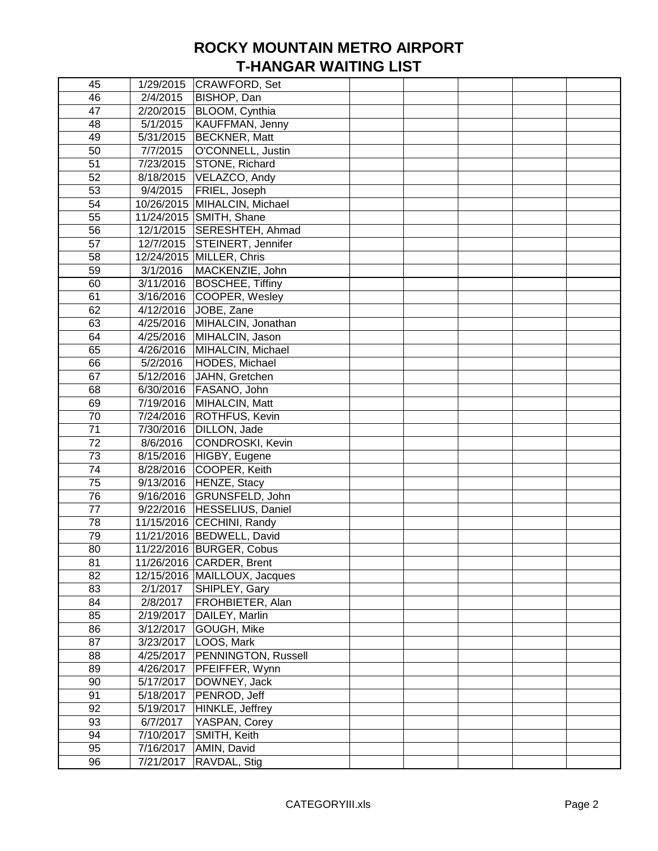| 45              |           | 1/29/2015 CRAWFORD, Set        |  |  |  |
|-----------------|-----------|--------------------------------|--|--|--|
| 46              | 2/4/2015  | BISHOP, Dan                    |  |  |  |
| 47              |           | 2/20/2015   BLOOM, Cynthia     |  |  |  |
| 48              | 5/1/2015  | KAUFFMAN, Jenny                |  |  |  |
| 49              |           | 5/31/2015   BECKNER, Matt      |  |  |  |
| 50              | 7/7/2015  | O'CONNELL, Justin              |  |  |  |
| 51              | 7/23/2015 | STONE, Richard                 |  |  |  |
| 52              | 8/18/2015 | VELAZCO, Andy                  |  |  |  |
| 53              | 9/4/2015  | FRIEL, Joseph                  |  |  |  |
| 54              |           | 10/26/2015 MIHALCIN, Michael   |  |  |  |
| 55              |           | 11/24/2015 SMITH, Shane        |  |  |  |
| 56              |           | 12/1/2015 SERESHTEH, Ahmad     |  |  |  |
| 57              |           | 12/7/2015 STEINERT, Jennifer   |  |  |  |
| 58              |           | 12/24/2015 MILLER, Chris       |  |  |  |
| 59              | 3/1/2016  | MACKENZIE, John                |  |  |  |
| 60              |           | 3/11/2016   BOSCHEE, Tiffiny   |  |  |  |
| 61              | 3/16/2016 | COOPER, Wesley                 |  |  |  |
| 62              | 4/12/2016 | JOBE, Zane                     |  |  |  |
| 63              |           | 4/25/2016   MIHALCIN, Jonathan |  |  |  |
| 64              | 4/25/2016 | MIHALCIN, Jason                |  |  |  |
| 65              |           | 4/26/2016   MIHALCIN, Michael  |  |  |  |
| 66              | 5/2/2016  | HODES, Michael                 |  |  |  |
| 67              |           | 5/12/2016 JAHN, Gretchen       |  |  |  |
| 68              |           | 6/30/2016   FASANO, John       |  |  |  |
| 69              |           | 7/19/2016   MIHALCIN, Matt     |  |  |  |
| 70              | 7/24/2016 | ROTHFUS, Kevin                 |  |  |  |
| 71              | 7/30/2016 | DILLON, Jade                   |  |  |  |
| 72              | 8/6/2016  | CONDROSKI, Kevin               |  |  |  |
| 73              | 8/15/2016 | HIGBY, Eugene                  |  |  |  |
| 74              | 8/28/2016 | COOPER, Keith                  |  |  |  |
| 75              |           | 9/13/2016   HENZE, Stacy       |  |  |  |
| $\overline{76}$ | 9/16/2016 | GRUNSFELD, John                |  |  |  |
| $\overline{77}$ |           | 9/22/2016   HESSELIUS, Daniel  |  |  |  |
| 78              |           | 11/15/2016 CECHINI, Randy      |  |  |  |
| 79              |           | 11/21/2016   BEDWELL, David    |  |  |  |
| 80              |           | 11/22/2016 BURGER, Cobus       |  |  |  |
| 81              |           | 11/26/2016 CARDER, Brent       |  |  |  |
| 82              |           | 12/15/2016   MAILLOUX, Jacques |  |  |  |
| 83              | 2/1/2017  | SHIPLEY, Gary                  |  |  |  |
| 84              | 2/8/2017  | FROHBIETER, Alan               |  |  |  |
| 85              |           | 2/19/2017   DAILEY, Marlin     |  |  |  |
| 86              | 3/12/2017 | GOUGH, Mike                    |  |  |  |
| 87              | 3/23/2017 | LOOS, Mark                     |  |  |  |
| 88              |           |                                |  |  |  |
|                 | 4/25/2017 | PENNINGTON, Russell            |  |  |  |
| 89<br>90        | 4/26/2017 | PFEIFFER, Wynn                 |  |  |  |
|                 | 5/17/2017 | DOWNEY, Jack                   |  |  |  |
| 91              | 5/18/2017 | PENROD, Jeff                   |  |  |  |
| 92              | 5/19/2017 | HINKLE, Jeffrey                |  |  |  |
| 93              | 6/7/2017  | YASPAN, Corey                  |  |  |  |
| 94              | 7/10/2017 | SMITH, Keith                   |  |  |  |
| 95              | 7/16/2017 | AMIN, David                    |  |  |  |
| 96              | 7/21/2017 | RAVDAL, Stig                   |  |  |  |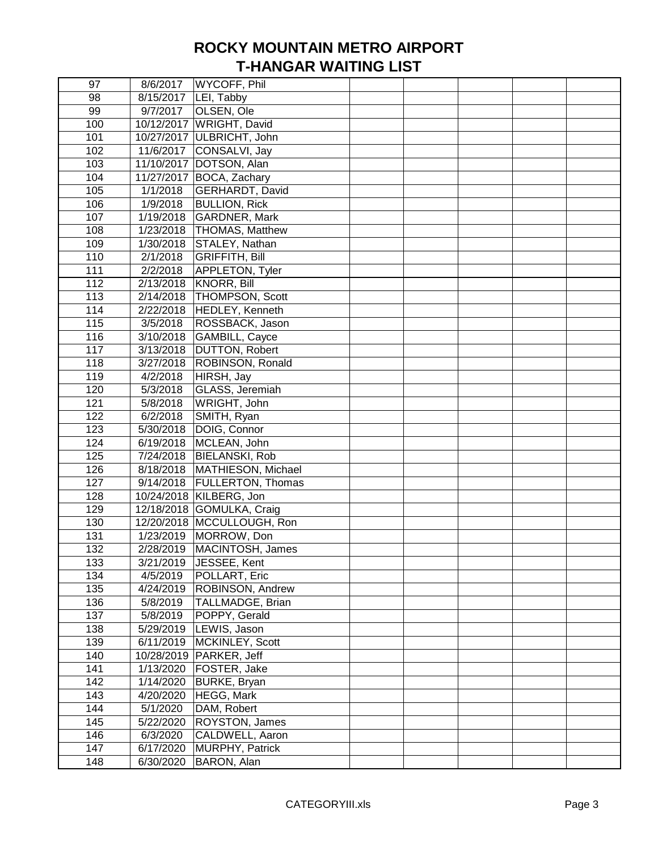| 97         | 8/6/2017           | WYCOFF, Phil                              |  |  |  |
|------------|--------------------|-------------------------------------------|--|--|--|
| 98         | 8/15/2017          | LEI, Tabby                                |  |  |  |
| 99         | 9/7/2017           | OLSEN, Ole                                |  |  |  |
| 100        |                    | 10/12/2017   WRIGHT, David                |  |  |  |
| 101        |                    | 10/27/2017 ULBRICHT, John                 |  |  |  |
| 102        |                    | 11/6/2017 CONSALVI, Jay                   |  |  |  |
| 103        |                    | 11/10/2017 DOTSON, Alan                   |  |  |  |
| 104        |                    | 11/27/2017 BOCA, Zachary                  |  |  |  |
| 105        | 1/1/2018           | GERHARDT, David                           |  |  |  |
| 106        | $\frac{1}{9/2018}$ | <b>BULLION, Rick</b>                      |  |  |  |
| 107        | 1/19/2018          | GARDNER, Mark                             |  |  |  |
| 108        | 1/23/2018          | THOMAS, Matthew                           |  |  |  |
| 109        | 1/30/2018          | STALEY, Nathan                            |  |  |  |
| 110        | 2/1/2018           | <b>GRIFFITH, Bill</b>                     |  |  |  |
| 111        | 2/2/2018           | APPLETON, Tyler                           |  |  |  |
| 112        | 2/13/2018          | KNORR, Bill                               |  |  |  |
| 113        | 2/14/2018          | <b>THOMPSON, Scott</b>                    |  |  |  |
| 114        | 2/22/2018          | HEDLEY, Kenneth                           |  |  |  |
| 115        | 3/5/2018           | ROSSBACK, Jason                           |  |  |  |
| 116        | 3/10/2018          | GAMBILL, Cayce                            |  |  |  |
| 117        | 3/13/2018          | <b>DUTTON, Robert</b>                     |  |  |  |
| 118        | 3/27/2018          | <b>ROBINSON, Ronald</b>                   |  |  |  |
| 119        | 4/2/2018           | HIRSH, Jay                                |  |  |  |
| 120        | 5/3/2018           | GLASS, Jeremiah                           |  |  |  |
| 121        | 5/8/2018           | WRIGHT, John                              |  |  |  |
| 122        | 6/2/2018           | SMITH, Ryan                               |  |  |  |
| 123        | 5/30/2018          | DOIG, Connor                              |  |  |  |
| 124        | 6/19/2018          | MCLEAN, John                              |  |  |  |
| 125        | 7/24/2018          | <b>BIELANSKI, Rob</b>                     |  |  |  |
| 126        |                    | 8/18/2018   MATHIESON, Michael            |  |  |  |
| 127        |                    | 9/14/2018   FULLERTON, Thomas             |  |  |  |
| 128        |                    | 10/24/2018 KILBERG, Jon                   |  |  |  |
| 129        |                    | 12/18/2018 GOMULKA, Craig                 |  |  |  |
| 130        |                    | 12/20/2018   MCCULLOUGH, Ron              |  |  |  |
| 131        |                    | 1/23/2019   MORROW, Don                   |  |  |  |
| 132        | 2/28/2019          | MACINTOSH, James                          |  |  |  |
|            |                    |                                           |  |  |  |
| 133<br>134 | 4/5/2019           | 3/21/2019   JESSEE, Kent<br>POLLART, Eric |  |  |  |
| 135        | 4/24/2019          | <b>ROBINSON, Andrew</b>                   |  |  |  |
|            | 5/8/2019           | TALLMADGE, Brian                          |  |  |  |
| 136<br>137 |                    | POPPY, Gerald                             |  |  |  |
|            | 5/8/2019           |                                           |  |  |  |
| 138        |                    | 5/29/2019  LEWIS, Jason                   |  |  |  |
| 139        | 6/11/2019          | MCKINLEY, Scott                           |  |  |  |
| 140        |                    | 10/28/2019   PARKER, Jeff                 |  |  |  |
| 141        |                    | 1/13/2020   FOSTER, Jake                  |  |  |  |
| 142        | 1/14/2020          | BURKE, Bryan                              |  |  |  |
| 143        | 4/20/2020          | HEGG, Mark                                |  |  |  |
| 144        | 5/1/2020           | DAM, Robert                               |  |  |  |
| 145        | 5/22/2020          | <b>ROYSTON, James</b>                     |  |  |  |
| 146        | 6/3/2020           | CALDWELL, Aaron                           |  |  |  |
| 147        | 6/17/2020          | MURPHY, Patrick                           |  |  |  |
| 148        | 6/30/2020          | BARON, Alan                               |  |  |  |